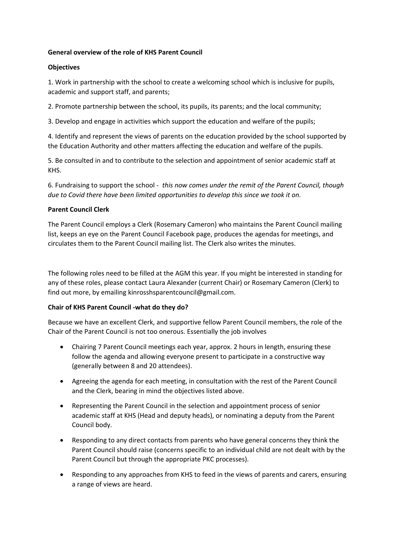## **General overview of the role of KHS Parent Council**

### **Objectives**

1. Work in partnership with the school to create a welcoming school which is inclusive for pupils, academic and support staff, and parents;

2. Promote partnership between the school, its pupils, its parents; and the local community;

3. Develop and engage in activities which support the education and welfare of the pupils;

4. Identify and represent the views of parents on the education provided by the school supported by the Education Authority and other matters affecting the education and welfare of the pupils.

5. Be consulted in and to contribute to the selection and appointment of senior academic staff at KHS.

6. Fundraising to support the school - *this now comes under the remit of the Parent Council, though due to Covid there have been limited opportunities to develop this since we took it on.*

## **Parent Council Clerk**

The Parent Council employs a Clerk (Rosemary Cameron) who maintains the Parent Council mailing list, keeps an eye on the Parent Council Facebook page, produces the agendas for meetings, and circulates them to the Parent Council mailing list. The Clerk also writes the minutes.

The following roles need to be filled at the AGM this year. If you might be interested in standing for any of these roles, please contact Laura Alexander (current Chair) or Rosemary Cameron (Clerk) to find out more, by emailing kinrosshsparentcouncil@gmail.com.

# **Chair of KHS Parent Council -what do they do?**

Because we have an excellent Clerk, and supportive fellow Parent Council members, the role of the Chair of the Parent Council is not too onerous. Essentially the job involves

- Chairing 7 Parent Council meetings each year, approx. 2 hours in length, ensuring these follow the agenda and allowing everyone present to participate in a constructive way (generally between 8 and 20 attendees).
- Agreeing the agenda for each meeting, in consultation with the rest of the Parent Council and the Clerk, bearing in mind the objectives listed above.
- Representing the Parent Council in the selection and appointment process of senior academic staff at KHS (Head and deputy heads), or nominating a deputy from the Parent Council body.
- Responding to any direct contacts from parents who have general concerns they think the Parent Council should raise (concerns specific to an individual child are not dealt with by the Parent Council but through the appropriate PKC processes).
- Responding to any approaches from KHS to feed in the views of parents and carers, ensuring a range of views are heard.